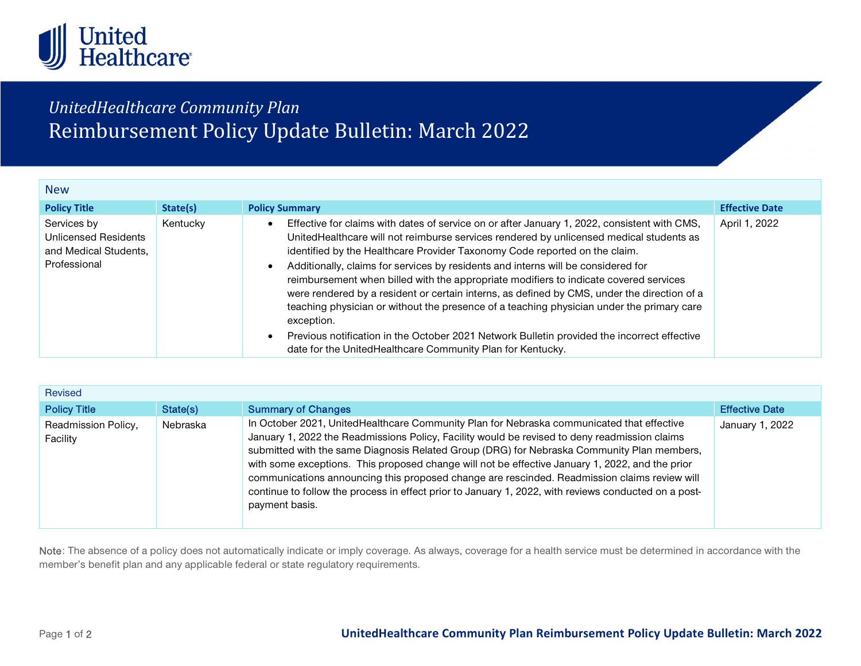

## UnitedHealthcare Community Plan Reimbursement Policy Update Bulletin: March 2022

| <b>New</b>                                                                   |          |                                                                                                                                                                                                                                                                                                                                                                                                                                                                                                                                                                                                                                                                                                                                                                                                                            |                       |  |  |
|------------------------------------------------------------------------------|----------|----------------------------------------------------------------------------------------------------------------------------------------------------------------------------------------------------------------------------------------------------------------------------------------------------------------------------------------------------------------------------------------------------------------------------------------------------------------------------------------------------------------------------------------------------------------------------------------------------------------------------------------------------------------------------------------------------------------------------------------------------------------------------------------------------------------------------|-----------------------|--|--|
| <b>Policy Title</b>                                                          | State(s) | <b>Policy Summary</b>                                                                                                                                                                                                                                                                                                                                                                                                                                                                                                                                                                                                                                                                                                                                                                                                      | <b>Effective Date</b> |  |  |
| Services by<br>Unlicensed Residents<br>and Medical Students,<br>Professional | Kentucky | Effective for claims with dates of service on or after January 1, 2022, consistent with CMS,<br>UnitedHealthcare will not reimburse services rendered by unlicensed medical students as<br>identified by the Healthcare Provider Taxonomy Code reported on the claim.<br>Additionally, claims for services by residents and interns will be considered for<br>reimbursement when billed with the appropriate modifiers to indicate covered services<br>were rendered by a resident or certain interns, as defined by CMS, under the direction of a<br>teaching physician or without the presence of a teaching physician under the primary care<br>exception.<br>Previous notification in the October 2021 Network Bulletin provided the incorrect effective<br>date for the UnitedHealthcare Community Plan for Kentucky. | April 1, 2022         |  |  |

| <b>Revised</b>                  |          |                                                                                                                                                                                                                                                                                                                                                                                                                                                                                                                                                                                                                       |                       |  |  |  |
|---------------------------------|----------|-----------------------------------------------------------------------------------------------------------------------------------------------------------------------------------------------------------------------------------------------------------------------------------------------------------------------------------------------------------------------------------------------------------------------------------------------------------------------------------------------------------------------------------------------------------------------------------------------------------------------|-----------------------|--|--|--|
| <b>Policy Title</b>             | State(s) | <b>Summary of Changes</b>                                                                                                                                                                                                                                                                                                                                                                                                                                                                                                                                                                                             | <b>Effective Date</b> |  |  |  |
| Readmission Policy,<br>Facility | Nebraska | In October 2021, UnitedHealthcare Community Plan for Nebraska communicated that effective<br>January 1, 2022 the Readmissions Policy, Facility would be revised to deny readmission claims<br>submitted with the same Diagnosis Related Group (DRG) for Nebraska Community Plan members,<br>with some exceptions. This proposed change will not be effective January 1, 2022, and the prior<br>communications announcing this proposed change are rescinded. Readmission claims review will<br>continue to follow the process in effect prior to January 1, 2022, with reviews conducted on a post-<br>payment basis. | January 1, 2022       |  |  |  |

Note: The absence of a policy does not automatically indicate or imply coverage. As always, coverage for a health service must be determined in accordance with the member's benefit plan and any applicable federal or state regulatory requirements.